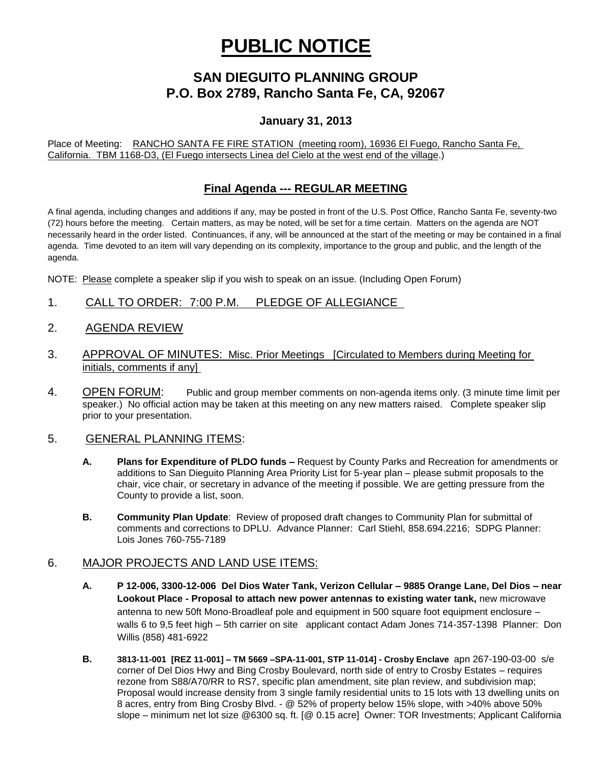# **PUBLIC NOTICE**

# **SAN DIEGUITO PLANNING GROUP P.O. Box 2789, Rancho Santa Fe, CA, 92067**

## **January 31, 2013**

Place of Meeting: RANCHO SANTA FE FIRE STATION (meeting room), 16936 El Fuego, Rancho Santa Fe, California. TBM 1168-D3, (El Fuego intersects Linea del Cielo at the west end of the village.)

### **Final Agenda --- REGULAR MEETING**

A final agenda, including changes and additions if any, may be posted in front of the U.S. Post Office, Rancho Santa Fe, seventy-two (72) hours before the meeting. Certain matters, as may be noted, will be set for a time certain. Matters on the agenda are NOT necessarily heard in the order listed. Continuances, if any, will be announced at the start of the meeting or may be contained in a final agenda. Time devoted to an item will vary depending on its complexity, importance to the group and public, and the length of the agenda.

NOTE: Please complete a speaker slip if you wish to speak on an issue. (Including Open Forum)

- 1. CALL TO ORDER: 7:00 P.M. PLEDGE OF ALLEGIANCE
- 2. AGENDA REVIEW
- 3. APPROVAL OF MINUTES: Misc. Prior Meetings [Circulated to Members during Meeting for initials, comments if any]
- 4. OPEN FORUM: Public and group member comments on non-agenda items only. (3 minute time limit per speaker.) No official action may be taken at this meeting on any new matters raised. Complete speaker slip prior to your presentation.

#### 5. GENERAL PLANNING ITEMS:

- **A. Plans for Expenditure of PLDO funds –** Request by County Parks and Recreation for amendments or additions to San Dieguito Planning Area Priority List for 5-year plan – please submit proposals to the chair, vice chair, or secretary in advance of the meeting if possible. We are getting pressure from the County to provide a list, soon.
- **B. Community Plan Update**: Review of proposed draft changes to Community Plan for submittal of comments and corrections to DPLU. Advance Planner: Carl Stiehl, 858.694.2216; SDPG Planner: Lois Jones 760-755-7189

#### 6. MAJOR PROJECTS AND LAND USE ITEMS:

- **A. P 12-006, 3300-12-006 Del Dios Water Tank, Verizon Cellular – 9885 Orange Lane, Del Dios – near Lookout Place - Proposal to attach new power antennas to existing water tank,** new microwave antenna to new 50ft Mono-Broadleaf pole and equipment in 500 square foot equipment enclosure – walls 6 to 9,5 feet high – 5th carrier on site applicant contact Adam Jones 714-357-1398 Planner: Don Willis (858) 481-6922
- **B. 3813-11-001 [REZ 11-001] – TM 5669 –SPA-11-001, STP 11-014] - Crosby Enclave** apn 267-190-03-00 s/e corner of Del Dios Hwy and Bing Crosby Boulevard, north side of entry to Crosby Estates – requires rezone from S88/A70/RR to RS7, specific plan amendment, site plan review, and subdivision map; Proposal would increase density from 3 single family residential units to 15 lots with 13 dwelling units on 8 acres, entry from Bing Crosby Blvd. - @ 52% of property below 15% slope, with >40% above 50% slope – minimum net lot size @6300 sq. ft. [@ 0.15 acre] Owner: TOR Investments; Applicant California